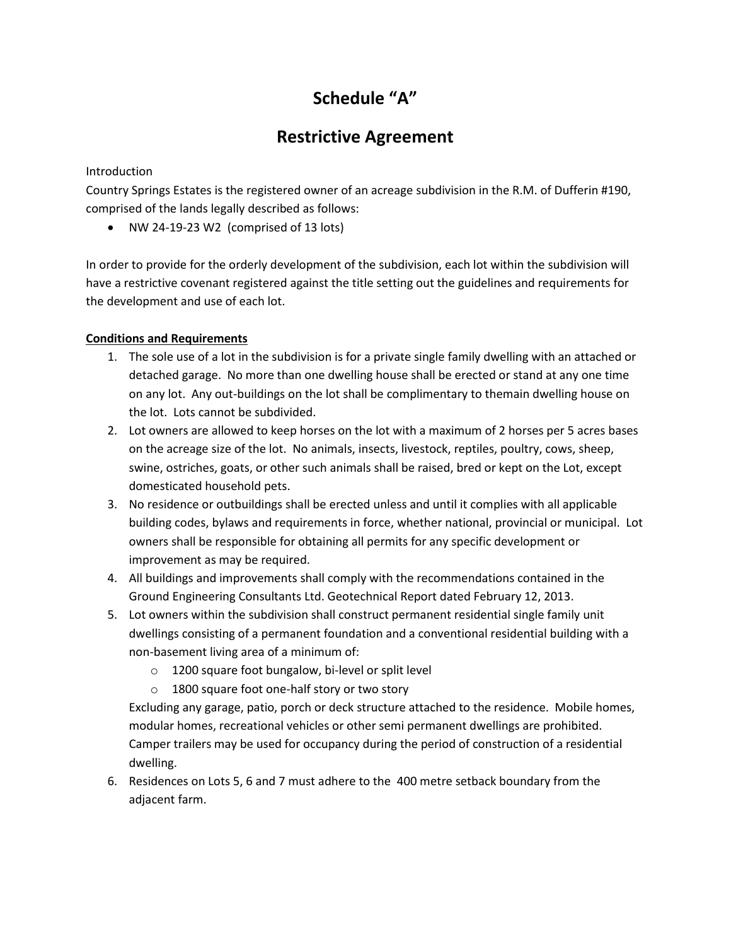## **Schedule "A"**

## **Restrictive Agreement**

Introduction

Country Springs Estates is the registered owner of an acreage subdivision in the R.M. of Dufferin #190, comprised of the lands legally described as follows:

NW 24-19-23 W2 (comprised of 13 lots)

In order to provide for the orderly development of the subdivision, each lot within the subdivision will have a restrictive covenant registered against the title setting out the guidelines and requirements for the development and use of each lot.

## **Conditions and Requirements**

- 1. The sole use of a lot in the subdivision is for a private single family dwelling with an attached or detached garage. No more than one dwelling house shall be erected or stand at any one time on any lot. Any out-buildings on the lot shall be complimentary to themain dwelling house on the lot. Lots cannot be subdivided.
- 2. Lot owners are allowed to keep horses on the lot with a maximum of 2 horses per 5 acres bases on the acreage size of the lot. No animals, insects, livestock, reptiles, poultry, cows, sheep, swine, ostriches, goats, or other such animals shall be raised, bred or kept on the Lot, except domesticated household pets.
- 3. No residence or outbuildings shall be erected unless and until it complies with all applicable building codes, bylaws and requirements in force, whether national, provincial or municipal. Lot owners shall be responsible for obtaining all permits for any specific development or improvement as may be required.
- 4. All buildings and improvements shall comply with the recommendations contained in the Ground Engineering Consultants Ltd. Geotechnical Report dated February 12, 2013.
- 5. Lot owners within the subdivision shall construct permanent residential single family unit dwellings consisting of a permanent foundation and a conventional residential building with a non-basement living area of a minimum of:
	- o 1200 square foot bungalow, bi-level or split level
	- o 1800 square foot one-half story or two story

Excluding any garage, patio, porch or deck structure attached to the residence. Mobile homes, modular homes, recreational vehicles or other semi permanent dwellings are prohibited. Camper trailers may be used for occupancy during the period of construction of a residential dwelling.

6. Residences on Lots 5, 6 and 7 must adhere to the 400 metre setback boundary from the adjacent farm.